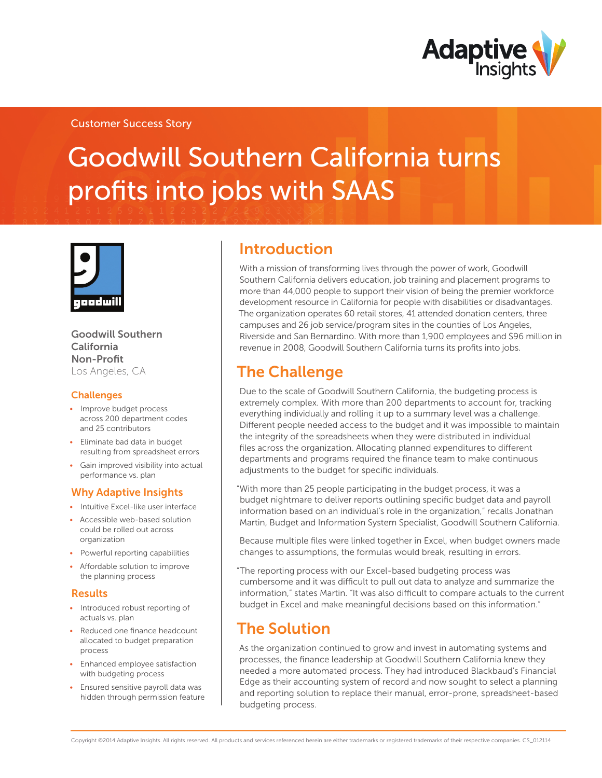

### Customer Success Story

# Goodwill Southern California turns profits into jobs with SAAS



#### Goodwill Southern California Non-Profit Los Angeles, CA

### **Challenges**

- Improve budget process across 200 department codes and 25 contributors
- • Eliminate bad data in budget resulting from spreadsheet errors
- • Gain improved visibility into actual performance vs. plan

### Why Adaptive Insights

- Intuitive Excel-like user interface
- Accessible web-based solution could be rolled out across organization
- Powerful reporting capabilities
- • Affordable solution to improve the planning process

### Results

- Introduced robust reporting of actuals vs. plan
- Reduced one finance headcount allocated to budget preparation process
- Enhanced employee satisfaction with budgeting process
- • Ensured sensitive payroll data was hidden through permission feature

### Introduction

With a mission of transforming lives through the power of work, Goodwill Southern California delivers education, job training and placement programs to more than 44,000 people to support their vision of being the premier workforce development resource in California for people with disabilities or disadvantages. The organization operates 60 retail stores, 41 attended donation centers, three campuses and 26 job service/program sites in the counties of Los Angeles, Riverside and San Bernardino. With more than 1,900 employees and \$96 million in revenue in 2008, Goodwill Southern California turns its profits into jobs.

# The Challenge

Due to the scale of Goodwill Southern California, the budgeting process is extremely complex. With more than 200 departments to account for, tracking everything individually and rolling it up to a summary level was a challenge. Different people needed access to the budget and it was impossible to maintain the integrity of the spreadsheets when they were distributed in individual files across the organization. Allocating planned expenditures to different departments and programs required the finance team to make continuous adjustments to the budget for specific individuals.

"With more than 25 people participating in the budget process, it was a budget nightmare to deliver reports outlining specific budget data and payroll information based on an individual's role in the organization," recalls Jonathan Martin, Budget and Information System Specialist, Goodwill Southern California.

Because multiple files were linked together in Excel, when budget owners made changes to assumptions, the formulas would break, resulting in errors.

"The reporting process with our Excel-based budgeting process was cumbersome and it was difficult to pull out data to analyze and summarize the information," states Martin. "It was also difficult to compare actuals to the current budget in Excel and make meaningful decisions based on this information."

### The Solution

As the organization continued to grow and invest in automating systems and processes, the finance leadership at Goodwill Southern California knew they needed a more automated process. They had introduced Blackbaud's Financial Edge as their accounting system of record and now sought to select a planning and reporting solution to replace their manual, error-prone, spreadsheet-based budgeting process.